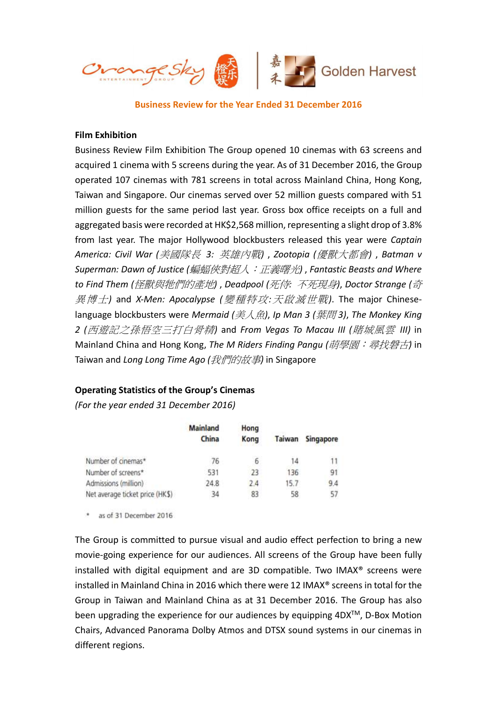

Business Review for the Year Ended 31 December 2016

# Film Exhibition

Business Review Film Exhibition The Group opened 10 cinemas with 63 screens and acquired 1 cinema with 5 screens during the year. As of 31 December 2016, the Group operated 107 cinemas with 781 screens in total across Mainland China, Hong Kong, Taiwan and Singapore. Our cinemas served over 52 million guests compared with 51 million guests for the same period last year. Gross box office receipts on a full and aggregated basis were recorded at HK\$2,568 million, representing a slight drop of 3.8% from last year. The major Hollywood blockbusters released this year were Captain America: Civil War (美國隊長 3: 英雄內戰), Zootopia (優獸大都會), Batman v Superman: Dawn of Justice (蝙蝠俠對超人:正義曙光), Fantastic Beasts and Where to Find Them (怪獸與牠們的產地) , Deadpool (死侍: 不死現身), Doctor Strange (奇 異博士) and X-Men: Apocalypse (變種特攻: 天啟滅世戰). The major Chineselanguage blockbusters were Mermaid (美人魚), Ip Man 3 (葉問3), The Monkey King 2 (西遊記之孫悟空三打白骨精) and From Vegas To Macau III (賭城風雲 III) in Mainland China and Hong Kong, The M Riders Finding Pangu (萌學園:尋找磐古) in Taiwan and Long Long Time Ago (我們的故事) in Singapore

# Operating Statistics of the Group's Cinemas

(For the year ended 31 December 2016)

|                                 | Mainland<br>China | Hong<br>Kong | Taiwan | Singapore |
|---------------------------------|-------------------|--------------|--------|-----------|
| Number of cinemas*              | 76                | 6            | 14     | 11        |
| Number of screens*              | 531               | 23           | 136    | 91        |
| Admissions (million)            | 24.8              | 74           | 15.7   | 94        |
| Net average ticket price (HK\$) | 34                | 83           | 58     | 57        |

\* as of 31 December 2016

The Group is committed to pursue visual and audio effect perfection to bring a new movie-going experience for our audiences. All screens of the Group have been fully installed with digital equipment and are 3D compatible. Two IMAX® screens were installed in Mainland China in 2016 which there were 12 IMAX® screens in total for the Group in Taiwan and Mainland China as at 31 December 2016. The Group has also been upgrading the experience for our audiences by equipping 4DX<sup>™</sup>, D-Box Motion Chairs, Advanced Panorama Dolby Atmos and DTSX sound systems in our cinemas in different regions.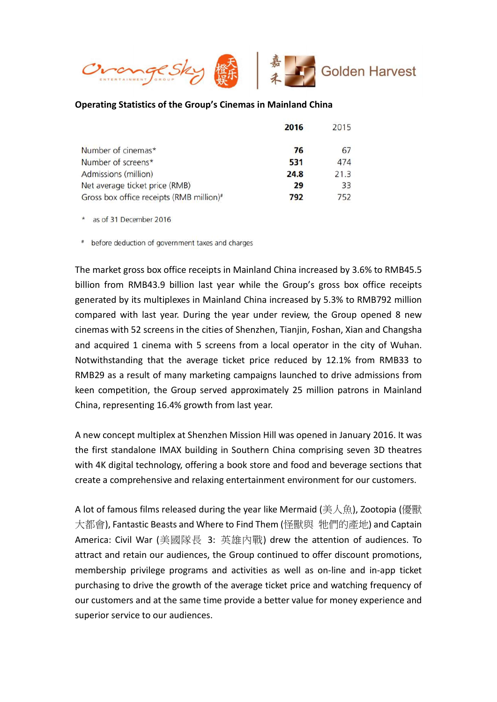

# Operating Statistics of the Group's Cinemas in Mainland China

|                                                      | 2016 | 2015 |
|------------------------------------------------------|------|------|
| Number of cinemas*                                   | 76   | 67   |
| Number of screens*                                   | 531  | 474  |
| Admissions (million)                                 | 24.8 | 21.3 |
| Net average ticket price (RMB)                       | 29   | 33   |
| Gross box office receipts (RMB million) <sup>#</sup> | 792  | 752  |

\* as of 31 December 2016

\* before deduction of government taxes and charges

The market gross box office receipts in Mainland China increased by 3.6% to RMB45.5 billion from RMB43.9 billion last year while the Group's gross box office receipts generated by its multiplexes in Mainland China increased by 5.3% to RMB792 million compared with last year. During the year under review, the Group opened 8 new cinemas with 52 screens in the cities of Shenzhen, Tianjin, Foshan, Xian and Changsha and acquired 1 cinema with 5 screens from a local operator in the city of Wuhan. Notwithstanding that the average ticket price reduced by 12.1% from RMB33 to RMB29 as a result of many marketing campaigns launched to drive admissions from keen competition, the Group served approximately 25 million patrons in Mainland China, representing 16.4% growth from last year.

A new concept multiplex at Shenzhen Mission Hill was opened in January 2016. It was the first standalone IMAX building in Southern China comprising seven 3D theatres with 4K digital technology, offering a book store and food and beverage sections that create a comprehensive and relaxing entertainment environment for our customers.

A lot of famous films released during the year like Mermaid (美人魚), Zootopia (優獸 大都會), Fantastic Beasts and Where to Find Them (怪獸與 牠們的產地) and Captain America: Civil War (美國隊長 3: 英雄內戰) drew the attention of audiences. To attract and retain our audiences, the Group continued to offer discount promotions, membership privilege programs and activities as well as on-line and in-app ticket purchasing to drive the growth of the average ticket price and watching frequency of our customers and at the same time provide a better value for money experience and superior service to our audiences.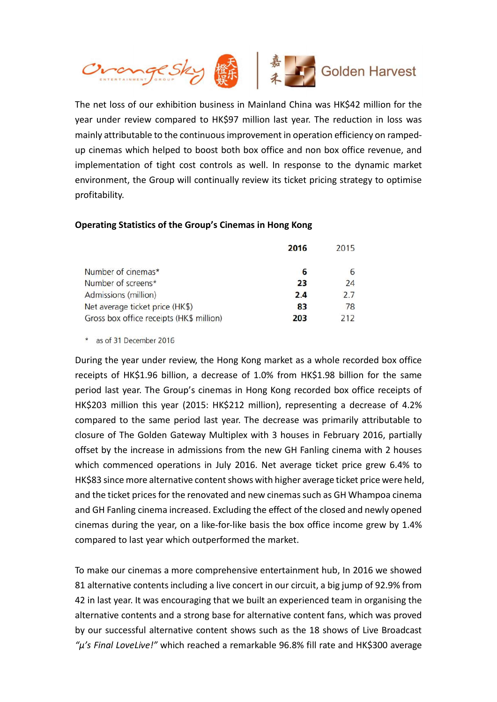

The net loss of our exhibition business in Mainland China was HK\$42 million for the year under review compared to HK\$97 million last year. The reduction in loss was mainly attributable to the continuous improvement in operation efficiency on rampedup cinemas which helped to boost both box office and non box office revenue, and implementation of tight cost controls as well. In response to the dynamic market environment, the Group will continually review its ticket pricing strategy to optimise profitability.

### Operating Statistics of the Group's Cinemas in Hong Kong

|                                          | 2016 | 2015 |
|------------------------------------------|------|------|
| Number of cinemas*                       |      | 6    |
| Number of screens*                       | 23   | 24   |
| Admissions (million)                     | 2.4  | 2.7  |
| Net average ticket price (HK\$)          | 83   | 78   |
| Gross box office receipts (HK\$ million) | 203  | 212  |

\* as of 31 December 2016

During the year under review, the Hong Kong market as a whole recorded box office receipts of HK\$1.96 billion, a decrease of 1.0% from HK\$1.98 billion for the same period last year. The Group's cinemas in Hong Kong recorded box office receipts of HK\$203 million this year (2015: HK\$212 million), representing a decrease of 4.2% compared to the same period last year. The decrease was primarily attributable to closure of The Golden Gateway Multiplex with 3 houses in February 2016, partially offset by the increase in admissions from the new GH Fanling cinema with 2 houses which commenced operations in July 2016. Net average ticket price grew 6.4% to HK\$83 since more alternative content shows with higher average ticket price were held, and the ticket prices for the renovated and new cinemas such as GH Whampoa cinema and GH Fanling cinema increased. Excluding the effect of the closed and newly opened cinemas during the year, on a like-for-like basis the box office income grew by 1.4% compared to last year which outperformed the market.

To make our cinemas a more comprehensive entertainment hub, In 2016 we showed 81 alternative contents including a live concert in our circuit, a big jump of 92.9% from 42 in last year. It was encouraging that we built an experienced team in organising the alternative contents and a strong base for alternative content fans, which was proved by our successful alternative content shows such as the 18 shows of Live Broadcast " $\mu$ 's Final LoveLive!" which reached a remarkable 96.8% fill rate and HK\$300 average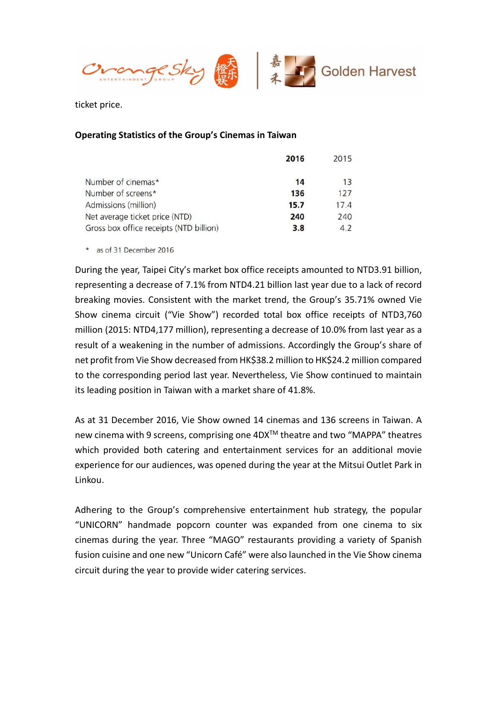

ticket price.

# Operating Statistics of the Group's Cinemas in Taiwan

|                                         | 2016 | 2015 |
|-----------------------------------------|------|------|
| Number of cinemas*                      | 14   | 13   |
| Number of screens*                      | 136  | 127  |
| Admissions (million)                    | 15.7 | 17.4 |
| Net average ticket price (NTD)          | 240  | 240  |
| Gross box office receipts (NTD billion) | 3.8  | 4.2  |

\* as of 31 December 2016

During the year, Taipei City's market box office receipts amounted to NTD3.91 billion, representing a decrease of 7.1% from NTD4.21 billion last year due to a lack of record breaking movies. Consistent with the market trend, the Group's 35.71% owned Vie Show cinema circuit ("Vie Show") recorded total box office receipts of NTD3,760 million (2015: NTD4,177 million), representing a decrease of 10.0% from last year as a result of a weakening in the number of admissions. Accordingly the Group's share of net profit from Vie Show decreased from HK\$38.2 million to HK\$24.2 million compared to the corresponding period last year. Nevertheless, Vie Show continued to maintain its leading position in Taiwan with a market share of 41.8%.

As at 31 December 2016, Vie Show owned 14 cinemas and 136 screens in Taiwan. A new cinema with 9 screens, comprising one 4DXTM theatre and two "MAPPA" theatres which provided both catering and entertainment services for an additional movie experience for our audiences, was opened during the year at the Mitsui Outlet Park in Linkou.

Adhering to the Group's comprehensive entertainment hub strategy, the popular "UNICORN" handmade popcorn counter was expanded from one cinema to six cinemas during the year. Three "MAGO" restaurants providing a variety of Spanish fusion cuisine and one new "Unicorn Café" were also launched in the Vie Show cinema circuit during the year to provide wider catering services.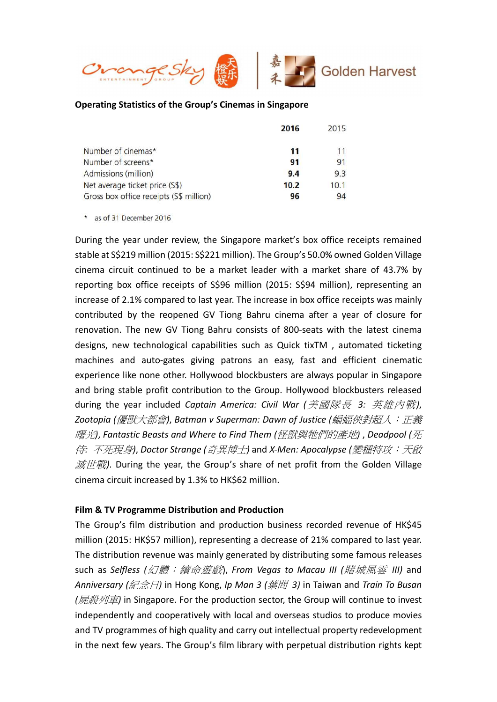

# Operating Statistics of the Group's Cinemas in Singapore

|                                         | 2016 | 2015 |
|-----------------------------------------|------|------|
| Number of cinemas*                      | 11   | 11   |
| Number of screens*                      | 91   | 91   |
| Admissions (million)                    | 9.4  | 9.3  |
| Net average ticket price (S\$)          | 10.2 | 10.1 |
| Gross box office receipts (S\$ million) | 96   | 94   |

\* as of 31 December 2016

During the year under review, the Singapore market's box office receipts remained stable at S\$219 million (2015: S\$221 million). The Group's 50.0% owned Golden Village cinema circuit continued to be a market leader with a market share of 43.7% by reporting box office receipts of S\$96 million (2015: S\$94 million), representing an increase of 2.1% compared to last year. The increase in box office receipts was mainly contributed by the reopened GV Tiong Bahru cinema after a year of closure for renovation. The new GV Tiong Bahru consists of 800-seats with the latest cinema designs, new technological capabilities such as Quick tixTM , automated ticketing machines and auto-gates giving patrons an easy, fast and efficient cinematic experience like none other. Hollywood blockbusters are always popular in Singapore and bring stable profit contribution to the Group. Hollywood blockbusters released during the year included Captain America: Civil War (美國隊長 3: 英雄內戰), Zootopia (優獸大都會), Batman v Superman: Dawn of Justice (蝙蝠俠對超人: 正義 曙光), Fantastic Beasts and Where to Find Them (怪獸與牠們的產地) , Deadpool (死 侍: 不死現身), Doctor Strange (奇異博士) and X-Men: Apocalypse (變種特攻:天啟 滅世戰). During the year, the Group's share of net profit from the Golden Village cinema circuit increased by 1.3% to HK\$62 million.

### Film & TV Programme Distribution and Production

The Group's film distribution and production business recorded revenue of HK\$45 million (2015: HK\$57 million), representing a decrease of 21% compared to last year. The distribution revenue was mainly generated by distributing some famous releases such as Selfless (幻體:續命遊戲), From Vegas to Macau III (賭城風雲 III) and Anniversary (紀念日) in Hong Kong, Ip Man 3 (葉問 3) in Taiwan and Train To Busan (屍殺列車) in Singapore. For the production sector, the Group will continue to invest independently and cooperatively with local and overseas studios to produce movies and TV programmes of high quality and carry out intellectual property redevelopment in the next few years. The Group's film library with perpetual distribution rights kept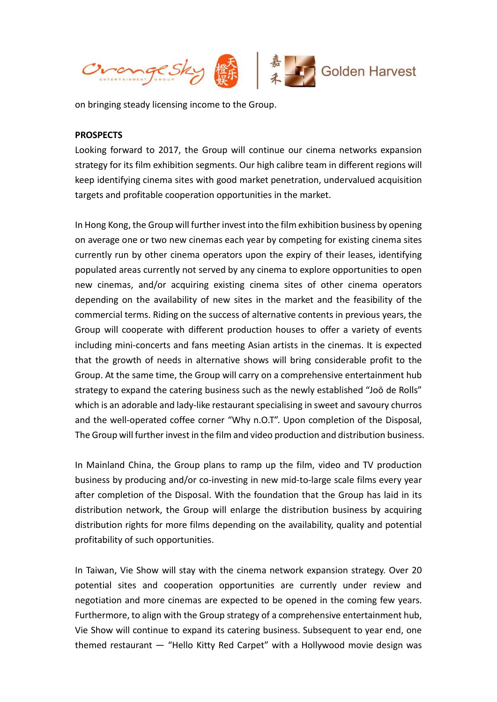

on bringing steady licensing income to the Group.

#### **PROSPECTS**

Looking forward to 2017, the Group will continue our cinema networks expansion strategy for its film exhibition segments. Our high calibre team in different regions will keep identifying cinema sites with good market penetration, undervalued acquisition targets and profitable cooperation opportunities in the market.

In Hong Kong, the Group will further invest into the film exhibition business by opening on average one or two new cinemas each year by competing for existing cinema sites currently run by other cinema operators upon the expiry of their leases, identifying populated areas currently not served by any cinema to explore opportunities to open new cinemas, and/or acquiring existing cinema sites of other cinema operators depending on the availability of new sites in the market and the feasibility of the commercial terms. Riding on the success of alternative contents in previous years, the Group will cooperate with different production houses to offer a variety of events including mini-concerts and fans meeting Asian artists in the cinemas. It is expected that the growth of needs in alternative shows will bring considerable profit to the Group. At the same time, the Group will carry on a comprehensive entertainment hub strategy to expand the catering business such as the newly established "Joō de Rolls" which is an adorable and lady-like restaurant specialising in sweet and savoury churros and the well-operated coffee corner "Why n.O.T". Upon completion of the Disposal, The Group will further invest in the film and video production and distribution business.

In Mainland China, the Group plans to ramp up the film, video and TV production business by producing and/or co-investing in new mid-to-large scale films every year after completion of the Disposal. With the foundation that the Group has laid in its distribution network, the Group will enlarge the distribution business by acquiring distribution rights for more films depending on the availability, quality and potential profitability of such opportunities.

In Taiwan, Vie Show will stay with the cinema network expansion strategy. Over 20 potential sites and cooperation opportunities are currently under review and negotiation and more cinemas are expected to be opened in the coming few years. Furthermore, to align with the Group strategy of a comprehensive entertainment hub, Vie Show will continue to expand its catering business. Subsequent to year end, one themed restaurant — "Hello Kitty Red Carpet" with a Hollywood movie design was